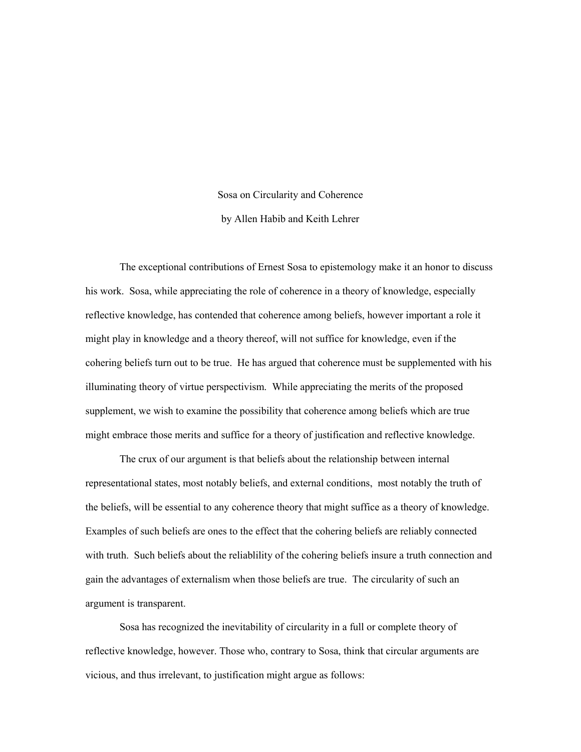## Sosa on Circularity and Coherence

by Allen Habib and Keith Lehrer

The exceptional contributions of Ernest Sosa to epistemology make it an honor to discuss his work. Sosa, while appreciating the role of coherence in a theory of knowledge, especially reflective knowledge, has contended that coherence among beliefs, however important a role it might play in knowledge and a theory thereof, will not suffice for knowledge, even if the cohering beliefs turn out to be true. He has argued that coherence must be supplemented with his illuminating theory of virtue perspectivism. While appreciating the merits of the proposed supplement, we wish to examine the possibility that coherence among beliefs which are true might embrace those merits and suffice for a theory of justification and reflective knowledge.

The crux of our argument is that beliefs about the relationship between internal representational states, most notably beliefs, and external conditions, most notably the truth of the beliefs, will be essential to any coherence theory that might suffice as a theory of knowledge. Examples of such beliefs are ones to the effect that the cohering beliefs are reliably connected with truth. Such beliefs about the reliablility of the cohering beliefs insure a truth connection and gain the advantages of externalism when those beliefs are true. The circularity of such an argument is transparent.

Sosa has recognized the inevitability of circularity in a full or complete theory of reflective knowledge, however. Those who, contrary to Sosa, think that circular arguments are vicious, and thus irrelevant, to justification might argue as follows: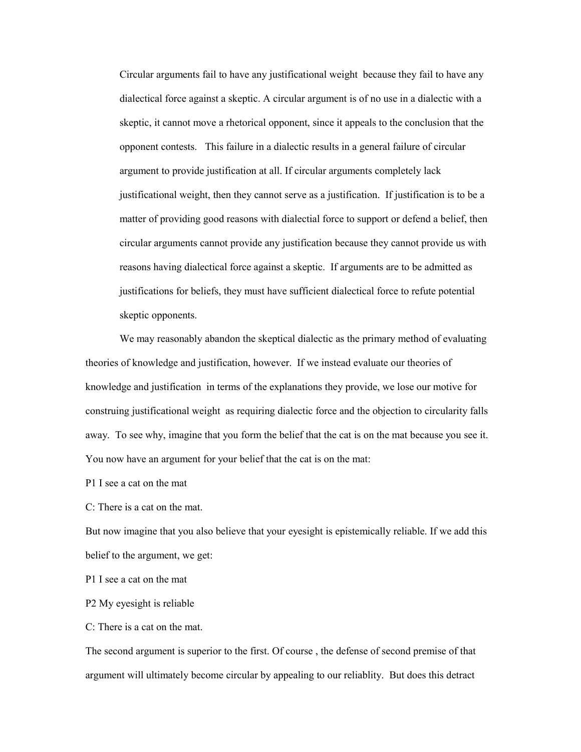Circular arguments fail to have any justificational weight because they fail to have any dialectical force against a skeptic. A circular argument is of no use in a dialectic with a skeptic, it cannot move a rhetorical opponent, since it appeals to the conclusion that the opponent contests. This failure in a dialectic results in a general failure of circular argument to provide justification at all. If circular arguments completely lack justificational weight, then they cannot serve as a justification. If justification is to be a matter of providing good reasons with dialectial force to support or defend a belief, then circular arguments cannot provide any justification because they cannot provide us with reasons having dialectical force against a skeptic. If arguments are to be admitted as justifications for beliefs, they must have sufficient dialectical force to refute potential skeptic opponents.

We may reasonably abandon the skeptical dialectic as the primary method of evaluating theories of knowledge and justification, however. If we instead evaluate our theories of knowledge and justification in terms of the explanations they provide, we lose our motive for construing justificational weight as requiring dialectic force and the objection to circularity falls away. To see why, imagine that you form the belief that the cat is on the mat because you see it. You now have an argument for your belief that the cat is on the mat:

P1 I see a cat on the mat

C: There is a cat on the mat.

But now imagine that you also believe that your eyesight is epistemically reliable. If we add this belief to the argument, we get:

P1 I see a cat on the mat

P2 My eyesight is reliable

C: There is a cat on the mat.

The second argument is superior to the first. Of course , the defense of second premise of that argument will ultimately become circular by appealing to our reliablity. But does this detract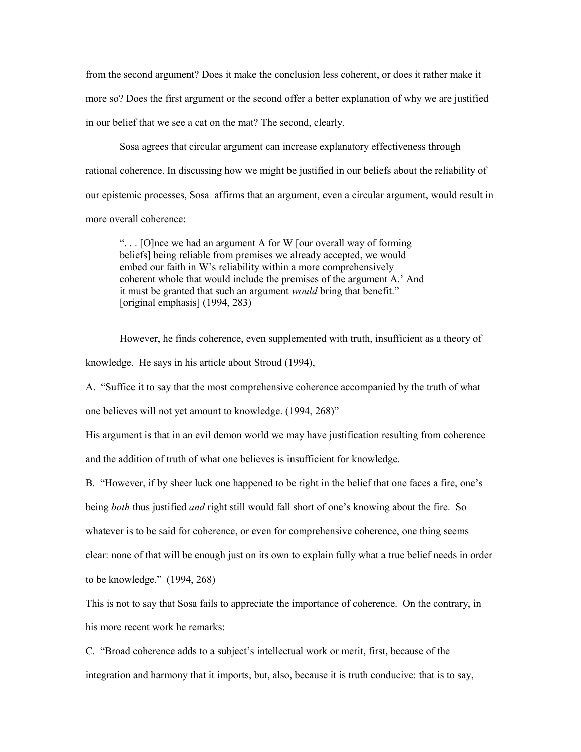from the second argument? Does it make the conclusion less coherent, or does it rather make it more so? Does the first argument or the second offer a better explanation of why we are justified in our belief that we see a cat on the mat? The second, clearly.

Sosa agrees that circular argument can increase explanatory effectiveness through rational coherence. In discussing how we might be justified in our beliefs about the reliability of our epistemic processes, Sosa affirms that an argument, even a circular argument, would result in more overall coherence:

". . . [O]nce we had an argument A for W [our overall way of forming beliefs] being reliable from premises we already accepted, we would embed our faith in W's reliability within a more comprehensively coherent whole that would include the premises of the argument A.' And it must be granted that such an argument *would* bring that benefit." [original emphasis] (1994, 283)

However, he finds coherence, even supplemented with truth, insufficient as a theory of knowledge. He says in his article about Stroud (1994),

A. "Suffice it to say that the most comprehensive coherence accompanied by the truth of what one believes will not yet amount to knowledge. (1994, 268)"

His argument is that in an evil demon world we may have justification resulting from coherence and the addition of truth of what one believes is insufficient for knowledge.

B. "However, if by sheer luck one happened to be right in the belief that one faces a fire, one's

being *both* thus justified *and* right still would fall short of one's knowing about the fire. So

whatever is to be said for coherence, or even for comprehensive coherence, one thing seems

clear: none of that will be enough just on its own to explain fully what a true belief needs in order

to be knowledge." (1994, 268)

This is not to say that Sosa fails to appreciate the importance of coherence. On the contrary, in his more recent work he remarks:

C. "Broad coherence adds to a subject's intellectual work or merit, first, because of the integration and harmony that it imports, but, also, because it is truth conducive: that is to say,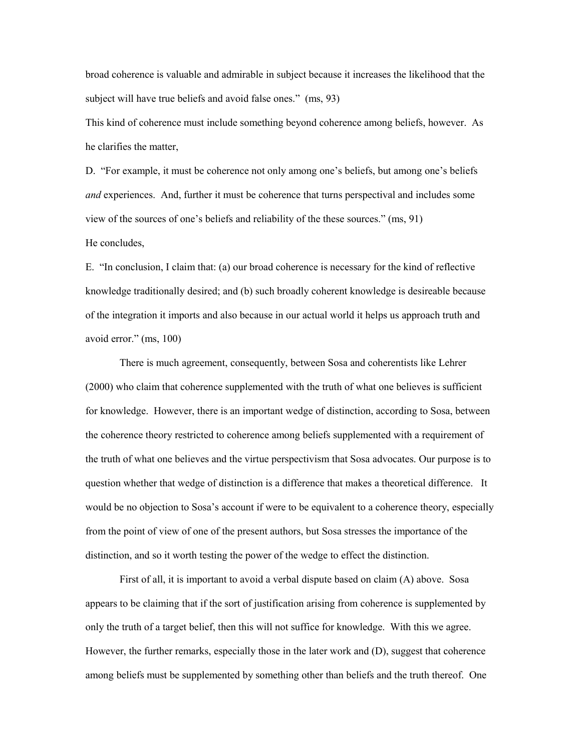broad coherence is valuable and admirable in subject because it increases the likelihood that the subject will have true beliefs and avoid false ones." (ms, 93)

This kind of coherence must include something beyond coherence among beliefs, however. As he clarifies the matter,

D. "For example, it must be coherence not only among one's beliefs, but among one's beliefs *and* experiences. And, further it must be coherence that turns perspectival and includes some view of the sources of one's beliefs and reliability of the these sources." (ms, 91) He concludes,

E. "In conclusion, I claim that: (a) our broad coherence is necessary for the kind of reflective knowledge traditionally desired; and (b) such broadly coherent knowledge is desireable because of the integration it imports and also because in our actual world it helps us approach truth and avoid error." (ms, 100)

There is much agreement, consequently, between Sosa and coherentists like Lehrer (2000) who claim that coherence supplemented with the truth of what one believes is sufficient for knowledge. However, there is an important wedge of distinction, according to Sosa, between the coherence theory restricted to coherence among beliefs supplemented with a requirement of the truth of what one believes and the virtue perspectivism that Sosa advocates. Our purpose is to question whether that wedge of distinction is a difference that makes a theoretical difference. It would be no objection to Sosa's account if were to be equivalent to a coherence theory, especially from the point of view of one of the present authors, but Sosa stresses the importance of the distinction, and so it worth testing the power of the wedge to effect the distinction.

First of all, it is important to avoid a verbal dispute based on claim (A) above. Sosa appears to be claiming that if the sort of justification arising from coherence is supplemented by only the truth of a target belief, then this will not suffice for knowledge. With this we agree. However, the further remarks, especially those in the later work and (D), suggest that coherence among beliefs must be supplemented by something other than beliefs and the truth thereof. One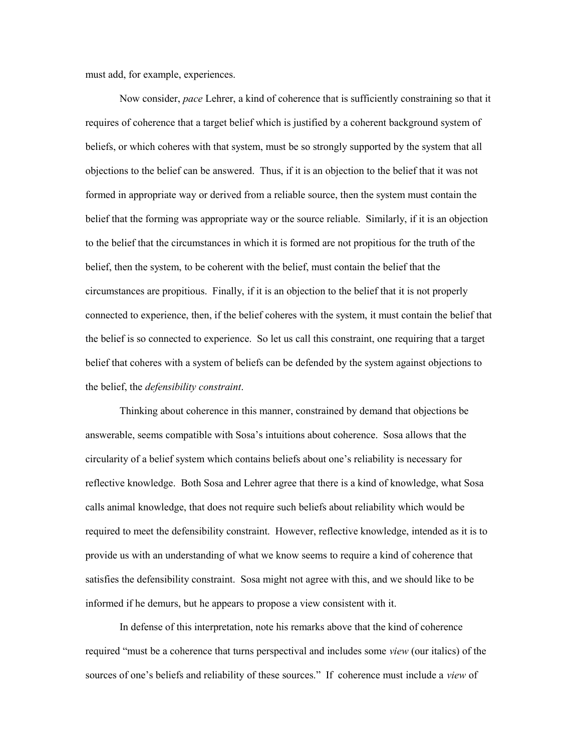must add, for example, experiences.

Now consider, *pace* Lehrer, a kind of coherence that is sufficiently constraining so that it requires of coherence that a target belief which is justified by a coherent background system of beliefs, or which coheres with that system, must be so strongly supported by the system that all objections to the belief can be answered. Thus, if it is an objection to the belief that it was not formed in appropriate way or derived from a reliable source, then the system must contain the belief that the forming was appropriate way or the source reliable. Similarly, if it is an objection to the belief that the circumstances in which it is formed are not propitious for the truth of the belief, then the system, to be coherent with the belief, must contain the belief that the circumstances are propitious. Finally, if it is an objection to the belief that it is not properly connected to experience, then, if the belief coheres with the system, it must contain the belief that the belief is so connected to experience. So let us call this constraint, one requiring that a target belief that coheres with a system of beliefs can be defended by the system against objections to the belief, the *defensibility constraint*.

Thinking about coherence in this manner, constrained by demand that objections be answerable, seems compatible with Sosa's intuitions about coherence. Sosa allows that the circularity of a belief system which contains beliefs about one's reliability is necessary for reflective knowledge. Both Sosa and Lehrer agree that there is a kind of knowledge, what Sosa calls animal knowledge, that does not require such beliefs about reliability which would be required to meet the defensibility constraint. However, reflective knowledge, intended as it is to provide us with an understanding of what we know seems to require a kind of coherence that satisfies the defensibility constraint. Sosa might not agree with this, and we should like to be informed if he demurs, but he appears to propose a view consistent with it.

In defense of this interpretation, note his remarks above that the kind of coherence required "must be a coherence that turns perspectival and includes some *view* (our italics) of the sources of one's beliefs and reliability of these sources." If coherence must include a *view* of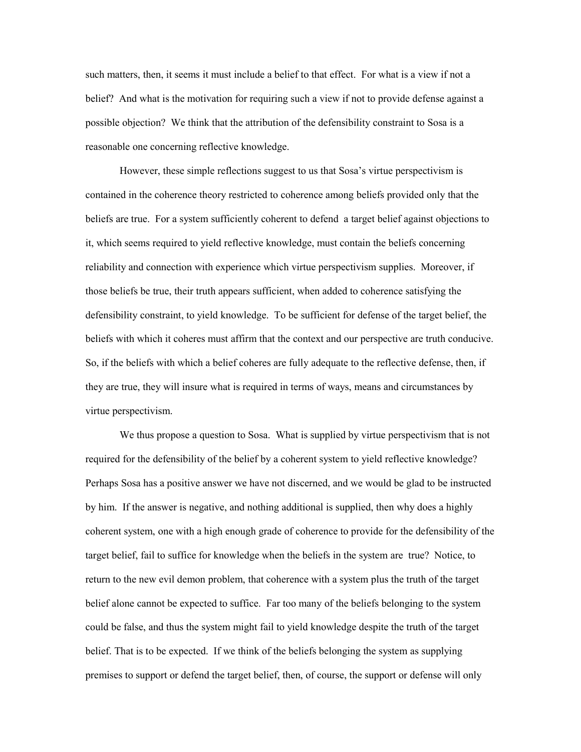such matters, then, it seems it must include a belief to that effect. For what is a view if not a belief? And what is the motivation for requiring such a view if not to provide defense against a possible objection? We think that the attribution of the defensibility constraint to Sosa is a reasonable one concerning reflective knowledge.

However, these simple reflections suggest to us that Sosa's virtue perspectivism is contained in the coherence theory restricted to coherence among beliefs provided only that the beliefs are true. For a system sufficiently coherent to defend a target belief against objections to it, which seems required to yield reflective knowledge, must contain the beliefs concerning reliability and connection with experience which virtue perspectivism supplies. Moreover, if those beliefs be true, their truth appears sufficient, when added to coherence satisfying the defensibility constraint, to yield knowledge. To be sufficient for defense of the target belief, the beliefs with which it coheres must affirm that the context and our perspective are truth conducive. So, if the beliefs with which a belief coheres are fully adequate to the reflective defense, then, if they are true, they will insure what is required in terms of ways, means and circumstances by virtue perspectivism.

We thus propose a question to Sosa. What is supplied by virtue perspectivism that is not required for the defensibility of the belief by a coherent system to yield reflective knowledge? Perhaps Sosa has a positive answer we have not discerned, and we would be glad to be instructed by him. If the answer is negative, and nothing additional is supplied, then why does a highly coherent system, one with a high enough grade of coherence to provide for the defensibility of the target belief, fail to suffice for knowledge when the beliefs in the system are true? Notice, to return to the new evil demon problem, that coherence with a system plus the truth of the target belief alone cannot be expected to suffice. Far too many of the beliefs belonging to the system could be false, and thus the system might fail to yield knowledge despite the truth of the target belief. That is to be expected. If we think of the beliefs belonging the system as supplying premises to support or defend the target belief, then, of course, the support or defense will only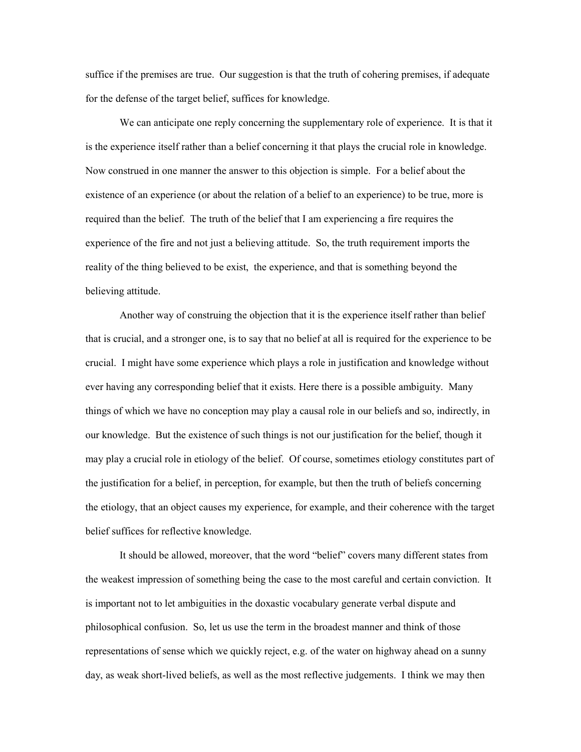suffice if the premises are true. Our suggestion is that the truth of cohering premises, if adequate for the defense of the target belief, suffices for knowledge.

We can anticipate one reply concerning the supplementary role of experience. It is that it is the experience itself rather than a belief concerning it that plays the crucial role in knowledge. Now construed in one manner the answer to this objection is simple. For a belief about the existence of an experience (or about the relation of a belief to an experience) to be true, more is required than the belief. The truth of the belief that I am experiencing a fire requires the experience of the fire and not just a believing attitude. So, the truth requirement imports the reality of the thing believed to be exist, the experience, and that is something beyond the believing attitude.

Another way of construing the objection that it is the experience itself rather than belief that is crucial, and a stronger one, is to say that no belief at all is required for the experience to be crucial. I might have some experience which plays a role in justification and knowledge without ever having any corresponding belief that it exists. Here there is a possible ambiguity. Many things of which we have no conception may play a causal role in our beliefs and so, indirectly, in our knowledge. But the existence of such things is not our justification for the belief, though it may play a crucial role in etiology of the belief. Of course, sometimes etiology constitutes part of the justification for a belief, in perception, for example, but then the truth of beliefs concerning the etiology, that an object causes my experience, for example, and their coherence with the target belief suffices for reflective knowledge.

It should be allowed, moreover, that the word "belief" covers many different states from the weakest impression of something being the case to the most careful and certain conviction. It is important not to let ambiguities in the doxastic vocabulary generate verbal dispute and philosophical confusion. So, let us use the term in the broadest manner and think of those representations of sense which we quickly reject, e.g. of the water on highway ahead on a sunny day, as weak short-lived beliefs, as well as the most reflective judgements. I think we may then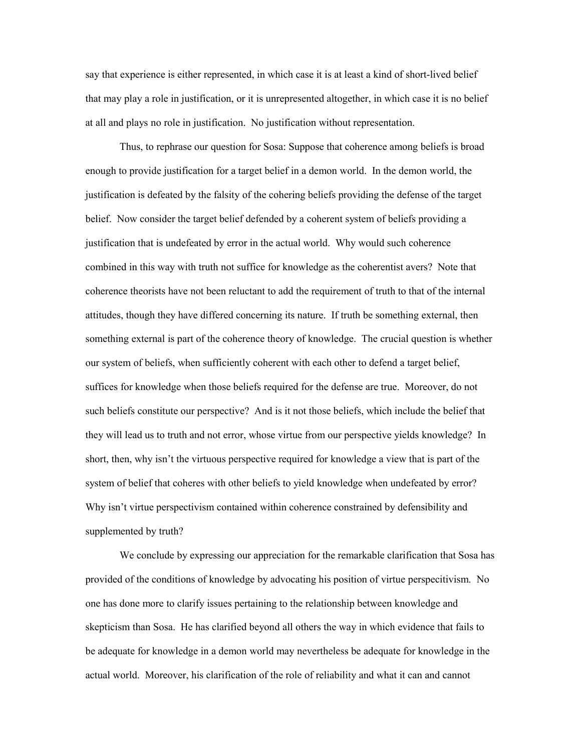say that experience is either represented, in which case it is at least a kind of short-lived belief that may play a role in justification, or it is unrepresented altogether, in which case it is no belief at all and plays no role in justification. No justification without representation.

Thus, to rephrase our question for Sosa: Suppose that coherence among beliefs is broad enough to provide justification for a target belief in a demon world. In the demon world, the justification is defeated by the falsity of the cohering beliefs providing the defense of the target belief. Now consider the target belief defended by a coherent system of beliefs providing a justification that is undefeated by error in the actual world. Why would such coherence combined in this way with truth not suffice for knowledge as the coherentist avers? Note that coherence theorists have not been reluctant to add the requirement of truth to that of the internal attitudes, though they have differed concerning its nature. If truth be something external, then something external is part of the coherence theory of knowledge. The crucial question is whether our system of beliefs, when sufficiently coherent with each other to defend a target belief, suffices for knowledge when those beliefs required for the defense are true. Moreover, do not such beliefs constitute our perspective? And is it not those beliefs, which include the belief that they will lead us to truth and not error, whose virtue from our perspective yields knowledge? In short, then, why isn't the virtuous perspective required for knowledge a view that is part of the system of belief that coheres with other beliefs to yield knowledge when undefeated by error? Why isn't virtue perspectivism contained within coherence constrained by defensibility and supplemented by truth?

We conclude by expressing our appreciation for the remarkable clarification that Sosa has provided of the conditions of knowledge by advocating his position of virtue perspecitivism. No one has done more to clarify issues pertaining to the relationship between knowledge and skepticism than Sosa. He has clarified beyond all others the way in which evidence that fails to be adequate for knowledge in a demon world may nevertheless be adequate for knowledge in the actual world. Moreover, his clarification of the role of reliability and what it can and cannot